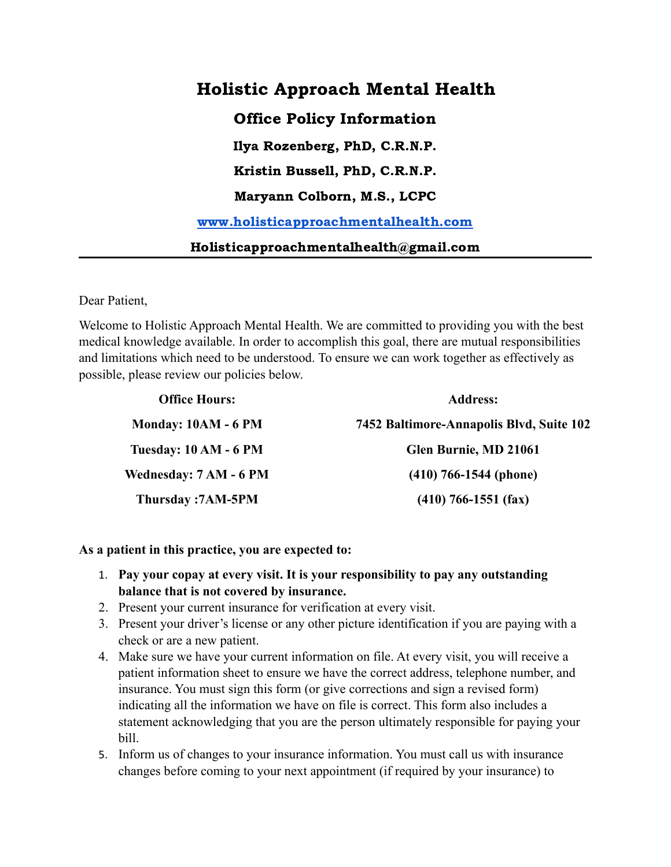# Holistic Approach Mental Health Office Policy Information Ilya Rozenberg, PhD, C.R.N.P. Kristin Bussell, PhD, C.R.N.P. Maryann Colborn, M.S., LCPC [www.holisticapproachmentalhealth.com](http://www.holisticapproachmentalhealth.com) Holisticapproachmentalhealth@gmail.com

Dear Patient,

Welcome to Holistic Approach Mental Health. We are committed to providing you with the best medical knowledge available. In order to accomplish this goal, there are mutual responsibilities and limitations which need to be understood. To ensure we can work together as effectively as possible, please review our policies below.

| <b>Office Hours:</b>         | <b>Address:</b>                          |  |
|------------------------------|------------------------------------------|--|
| Monday: 10AM - 6 PM          | 7452 Baltimore-Annapolis Blvd, Suite 102 |  |
| <b>Tuesday: 10 AM - 6 PM</b> | Glen Burnie, MD 21061                    |  |
| Wednesday: 7 AM - 6 PM       | $(410)$ 766-1544 (phone)                 |  |
| <b>Thursday:7AM-5PM</b>      | $(410)$ 766-1551 (fax)                   |  |

#### **As a patient in this practice, you are expected to:**

- 1. **Pay your copay at every visit. It is your responsibility to pay any outstanding balance that is not covered by insurance.**
- 2. Present your current insurance for verification at every visit.
- 3. Present your driver's license or any other picture identification if you are paying with a check or are a new patient.
- 4. Make sure we have your current information on file. At every visit, you will receive a patient information sheet to ensure we have the correct address, telephone number, and insurance. You must sign this form (or give corrections and sign a revised form) indicating all the information we have on file is correct. This form also includes a statement acknowledging that you are the person ultimately responsible for paying your bill.
- 5. Inform us of changes to your insurance information. You must call us with insurance changes before coming to your next appointment (if required by your insurance) to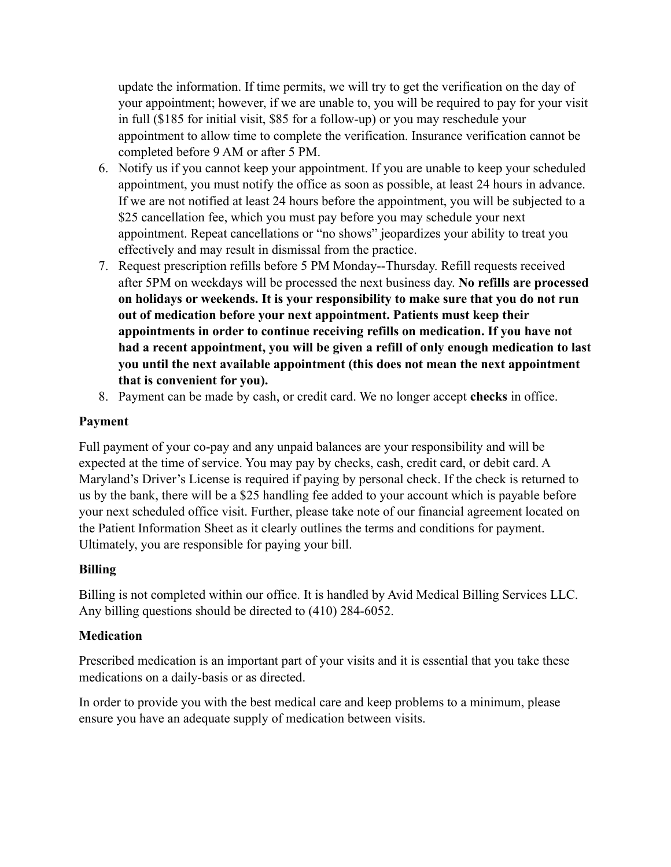update the information. If time permits, we will try to get the verification on the day of your appointment; however, if we are unable to, you will be required to pay for your visit in full (\$185 for initial visit, \$85 for a follow-up) or you may reschedule your appointment to allow time to complete the verification. Insurance verification cannot be completed before 9 AM or after 5 PM.

- 6. Notify us if you cannot keep your appointment. If you are unable to keep your scheduled appointment, you must notify the office as soon as possible, at least 24 hours in advance. If we are not notified at least 24 hours before the appointment, you will be subjected to a \$25 cancellation fee, which you must pay before you may schedule your next appointment. Repeat cancellations or "no shows" jeopardizes your ability to treat you effectively and may result in dismissal from the practice.
- 7. Request prescription refills before 5 PM Monday--Thursday. Refill requests received after 5PM on weekdays will be processed the next business day. **No refills are processed on holidays or weekends. It is your responsibility to make sure that you do not run out of medication before your next appointment. Patients must keep their appointments in order to continue receiving refills on medication. If you have not had a recent appointment, you will be given a refill of only enough medication to last you until the next available appointment (this does not mean the next appointment that is convenient for you).**
- 8. Payment can be made by cash, or credit card. We no longer accept **checks** in office.

# **Payment**

Full payment of your co-pay and any unpaid balances are your responsibility and will be expected at the time of service. You may pay by checks, cash, credit card, or debit card. A Maryland's Driver's License is required if paying by personal check. If the check is returned to us by the bank, there will be a \$25 handling fee added to your account which is payable before your next scheduled office visit. Further, please take note of our financial agreement located on the Patient Information Sheet as it clearly outlines the terms and conditions for payment. Ultimately, you are responsible for paying your bill.

## **Billing**

Billing is not completed within our office. It is handled by Avid Medical Billing Services LLC. Any billing questions should be directed to (410) 284-6052.

# **Medication**

Prescribed medication is an important part of your visits and it is essential that you take these medications on a daily-basis or as directed.

In order to provide you with the best medical care and keep problems to a minimum, please ensure you have an adequate supply of medication between visits.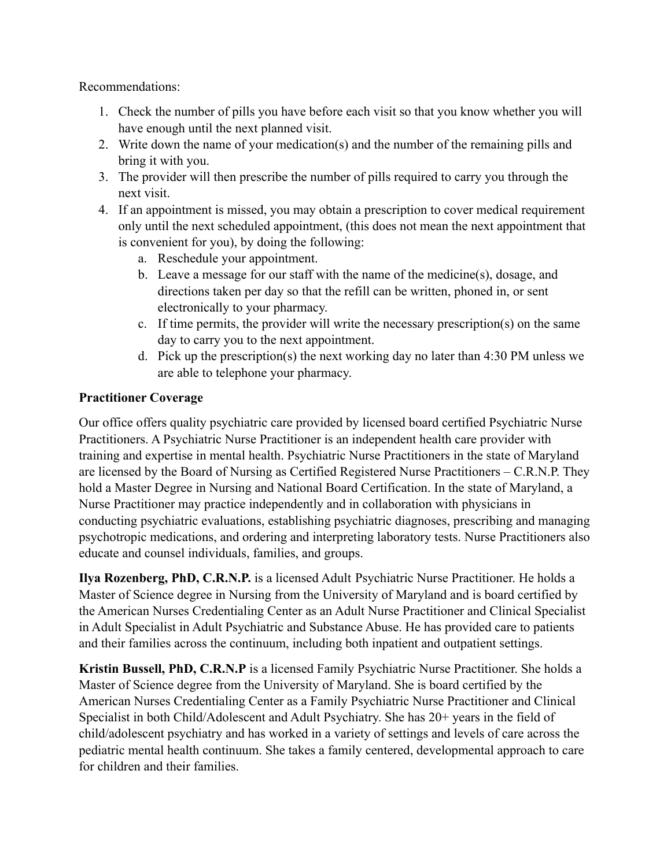Recommendations:

- 1. Check the number of pills you have before each visit so that you know whether you will have enough until the next planned visit.
- 2. Write down the name of your medication(s) and the number of the remaining pills and bring it with you.
- 3. The provider will then prescribe the number of pills required to carry you through the next visit.
- 4. If an appointment is missed, you may obtain a prescription to cover medical requirement only until the next scheduled appointment, (this does not mean the next appointment that is convenient for you), by doing the following:
	- a. Reschedule your appointment.
	- b. Leave a message for our staff with the name of the medicine(s), dosage, and directions taken per day so that the refill can be written, phoned in, or sent electronically to your pharmacy.
	- c. If time permits, the provider will write the necessary prescription(s) on the same day to carry you to the next appointment.
	- d. Pick up the prescription(s) the next working day no later than 4:30 PM unless we are able to telephone your pharmacy.

# **Practitioner Coverage**

Our office offers quality psychiatric care provided by licensed board certified Psychiatric Nurse Practitioners. A Psychiatric Nurse Practitioner is an independent health care provider with training and expertise in mental health. Psychiatric Nurse Practitioners in the state of Maryland are licensed by the Board of Nursing as Certified Registered Nurse Practitioners – C.R.N.P. They hold a Master Degree in Nursing and National Board Certification. In the state of Maryland, a Nurse Practitioner may practice independently and in collaboration with physicians in conducting psychiatric evaluations, establishing psychiatric diagnoses, prescribing and managing psychotropic medications, and ordering and interpreting laboratory tests. Nurse Practitioners also educate and counsel individuals, families, and groups.

**Ilya Rozenberg, PhD, C.R.N.P.** is a licensed Adult Psychiatric Nurse Practitioner. He holds a Master of Science degree in Nursing from the University of Maryland and is board certified by the American Nurses Credentialing Center as an Adult Nurse Practitioner and Clinical Specialist in Adult Specialist in Adult Psychiatric and Substance Abuse. He has provided care to patients and their families across the continuum, including both inpatient and outpatient settings.

**Kristin Bussell, PhD, C.R.N.P** is a licensed Family Psychiatric Nurse Practitioner. She holds a Master of Science degree from the University of Maryland. She is board certified by the American Nurses Credentialing Center as a Family Psychiatric Nurse Practitioner and Clinical Specialist in both Child/Adolescent and Adult Psychiatry. She has 20+ years in the field of child/adolescent psychiatry and has worked in a variety of settings and levels of care across the pediatric mental health continuum. She takes a family centered, developmental approach to care for children and their families.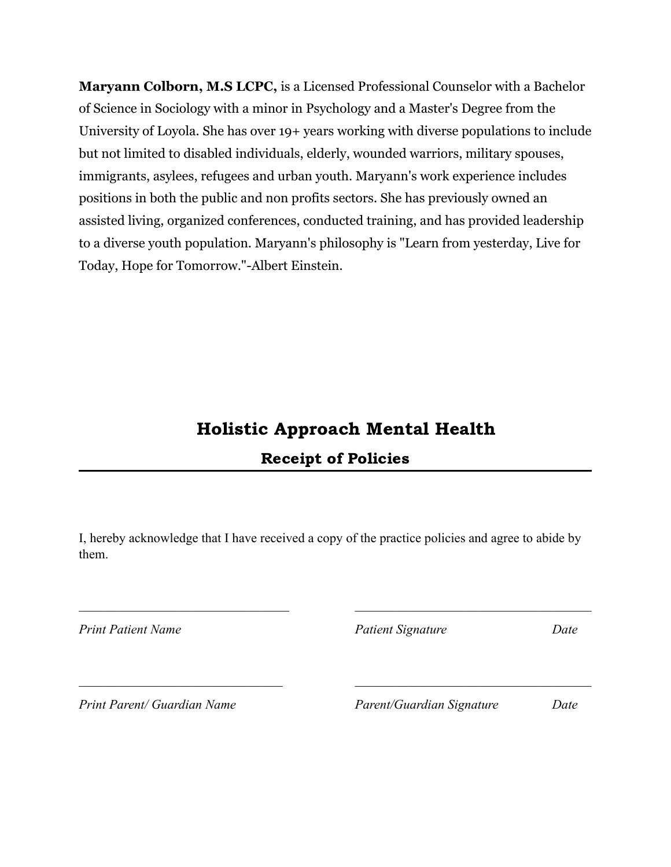**Maryann Colborn, M.S LCPC,** is a Licensed Professional Counselor with a Bachelor of Science in Sociology with a minor in Psychology and a Master's Degree from the University of Loyola. She has over 19+ years working with diverse populations to include but not limited to disabled individuals, elderly, wounded warriors, military spouses, immigrants, asylees, refugees and urban youth. Maryann's work experience includes positions in both the public and non profits sectors. She has previously owned an assisted living, organized conferences, conducted training, and has provided leadership to a diverse youth population. Maryann's philosophy is "Learn from yesterday, Live for Today, Hope for Tomorrow."-Albert Einstein.

# Holistic Approach Mental Health Receipt of Policies

I, hereby acknowledge that I have received a copy of the practice policies and agree to abide by them.

 $\_$  , and the contribution of the contribution of  $\_$  . The contribution of the contribution of  $\mathcal{L}_\mathcal{A}$ 

*Print Patient Name Patient Signature Date*

*Print Parent/ Guardian Name Parent/Guardian Signature Date*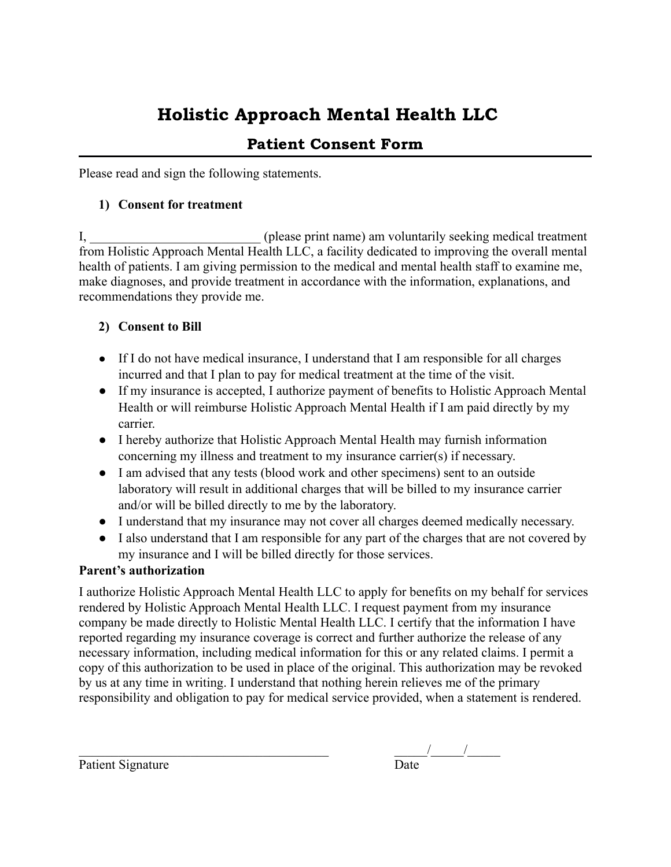# Holistic Approach Mental Health LLC

# Patient Consent Form

Please read and sign the following statements.

## **1) Consent for treatment**

I, \_\_\_\_\_\_\_\_\_\_\_\_\_\_\_\_\_\_\_\_\_\_\_\_\_\_\_\_\_\_(please print name) am voluntarily seeking medical treatment from Holistic Approach Mental Health LLC, a facility dedicated to improving the overall mental health of patients. I am giving permission to the medical and mental health staff to examine me, make diagnoses, and provide treatment in accordance with the information, explanations, and recommendations they provide me.

# **2) Consent to Bill**

- If I do not have medical insurance, I understand that I am responsible for all charges incurred and that I plan to pay for medical treatment at the time of the visit.
- If my insurance is accepted, I authorize payment of benefits to Holistic Approach Mental Health or will reimburse Holistic Approach Mental Health if I am paid directly by my carrier.
- I hereby authorize that Holistic Approach Mental Health may furnish information concerning my illness and treatment to my insurance carrier(s) if necessary.
- I am advised that any tests (blood work and other specimens) sent to an outside laboratory will result in additional charges that will be billed to my insurance carrier and/or will be billed directly to me by the laboratory.
- I understand that my insurance may not cover all charges deemed medically necessary.
- I also understand that I am responsible for any part of the charges that are not covered by my insurance and I will be billed directly for those services.

# **Parent's authorization**

I authorize Holistic Approach Mental Health LLC to apply for benefits on my behalf for services rendered by Holistic Approach Mental Health LLC. I request payment from my insurance company be made directly to Holistic Mental Health LLC. I certify that the information I have reported regarding my insurance coverage is correct and further authorize the release of any necessary information, including medical information for this or any related claims. I permit a copy of this authorization to be used in place of the original. This authorization may be revoked by us at any time in writing. I understand that nothing herein relieves me of the primary responsibility and obligation to pay for medical service provided, when a statement is rendered.

Patient Signature

\_\_\_\_\_\_\_\_\_\_\_\_\_\_\_\_\_\_\_\_\_\_\_\_\_\_\_\_\_\_\_\_\_\_\_\_\_\_ \_\_\_\_\_/\_\_\_\_\_/\_\_\_\_\_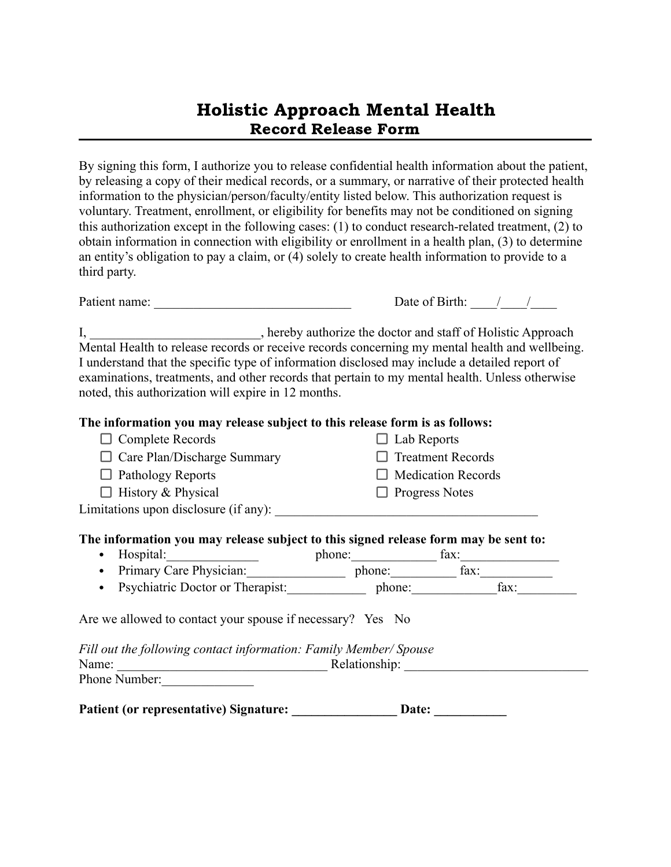# Holistic Approach Mental Health Record Release Form

By signing this form, I authorize you to release confidential health information about the patient, by releasing a copy of their medical records, or a summary, or narrative of their protected health information to the physician/person/faculty/entity listed below. This authorization request is voluntary. Treatment, enrollment, or eligibility for benefits may not be conditioned on signing this authorization except in the following cases: (1) to conduct research-related treatment, (2) to obtain information in connection with eligibility or enrollment in a health plan, (3) to determine an entity's obligation to pay a claim, or (4) solely to create health information to provide to a third party.

| Patient name: | Date of Birth: |  |
|---------------|----------------|--|
|               |                |  |

I, \_\_\_\_\_\_\_\_\_\_\_\_\_\_\_\_\_\_\_\_\_\_\_\_, hereby authorize the doctor and staff of Holistic Approach Mental Health to release records or receive records concerning my mental health and wellbeing. I understand that the specific type of information disclosed may include a detailed report of examinations, treatments, and other records that pertain to my mental health. Unless otherwise noted, this authorization will expire in 12 months.

#### **The information you may release subject to this release form is as follows:**

| $\Box$ Complete Records               | $\Box$ Lab Reports        |
|---------------------------------------|---------------------------|
| $\Box$ Care Plan/Discharge Summary    | $\Box$ Treatment Records  |
| $\Box$ Pathology Reports              | $\Box$ Medication Records |
| $\Box$ History & Physical             | $\Box$ Progress Notes     |
| Limitations upon disclosure (if any): |                           |

## **The information you may release subject to this signed release form may be sent to:**

- Hospital: https://www.fax.com/individual/individual/individual/individual/individual/individual/individual/individual/individual/individual/individual/individual/individual/individual/individual/individual/individual/ind
- Primary Care Physician: phone: fax: • Psychiatric Doctor or Therapist:\_\_\_\_\_\_\_\_\_\_\_\_ phone:\_\_\_\_\_\_\_\_\_\_\_\_\_fax:\_\_\_\_\_\_\_\_\_

Are we allowed to contact your spouse if necessary? Yes No

*Fill out the following contact information: Family Member/ Spouse* Name: \_\_\_\_\_\_\_\_\_\_\_\_\_\_\_\_\_\_\_\_\_\_\_\_\_\_\_\_\_\_\_\_ Relationship: \_\_\_\_\_\_\_\_\_\_\_\_\_\_\_\_\_\_\_\_\_\_\_\_\_\_\_\_ Phone Number:

Patient (or representative) Signature: \_\_\_\_\_\_\_\_\_\_\_\_\_\_\_\_\_\_ Date: \_\_\_\_\_\_\_\_\_\_\_\_\_\_\_\_